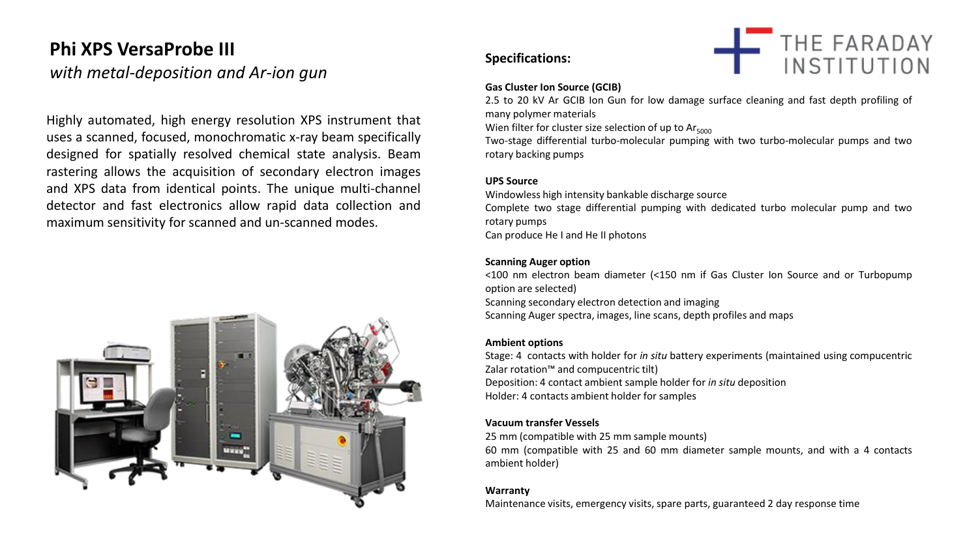# **Phi XPS VersaProbe III**

## *with metal-deposition and Ar-ion gun*

Highly automated, high energy resolution XPS instrument that uses a scanned, focused, monochromatic x-ray beam specifically designed for spatially resolved chemical state analysis. Beam rastering allows the acquisition of secondary electron images and XPS data from identical points. The unique multi-channel detector and fast electronics allow rapid data collection and maximum sensitivity for scanned and un-scanned modes.



#### **Specifications:**



#### **Gas Cluster Ion Source (GCIB)**

2.5 to 20 kV Ar GCIB Ion Gun for low damage surface cleaning and fast depth profiling of many polymer materials

Wien filter for cluster size selection of up to  $Ar<sub>5000</sub>$ 

Two-stage differential turbo-molecular pumping with two turbo-molecular pumps and two rotary backing pumps

#### **UPS Source**

Windowless high intensity bankable discharge source Complete two stage differential pumping with dedicated turbo molecular pump and two rotary pumps Can produce He I and He II photons

#### **Scanning Auger option**

<100 nm electron beam diameter (<150 nm if Gas Cluster Ion Source and or Turbopump option are selected) Scanning secondary electron detection and imaging Scanning Auger spectra, images, line scans, depth profiles and maps

#### **Ambient options**

Stage: 4 contacts with holder for *in situ* battery experiments (maintained using compucentric Zalar rotation™ and compucentric tilt) Deposition: 4 contact ambient sample holder for *in situ* deposition Holder: 4 contacts ambient holder for samples

#### **Vacuum transfer Vessels**

25 mm (compatible with 25 mm sample mounts) 60 mm (compatible with 25 and 60 mm diameter sample mounts, and with a 4 contacts ambient holder)

#### **Warranty**

Maintenance visits, emergency visits, spare parts, guaranteed 2 day response time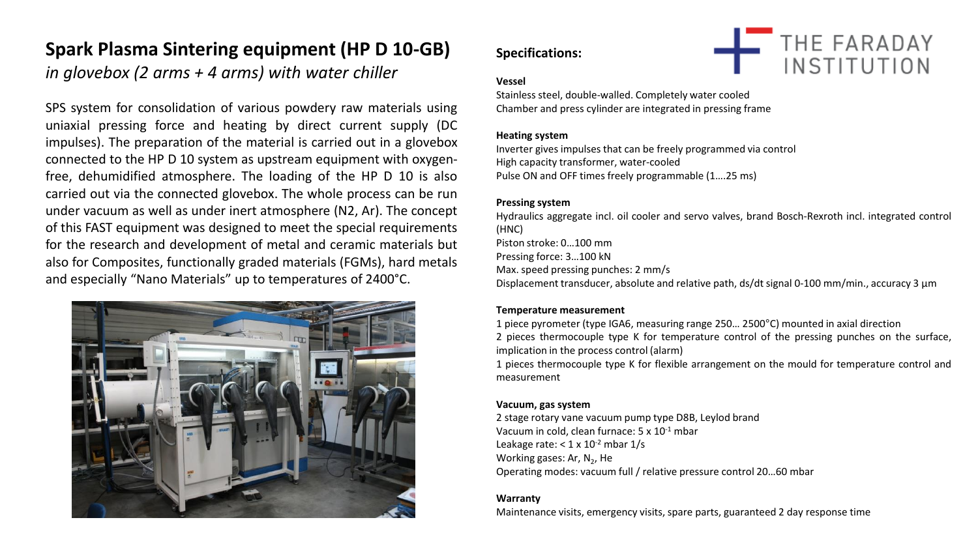# **Spark Plasma Sintering equipment (HP D 10-GB)**

*in glovebox (2 arms + 4 arms) with water chiller*

SPS system for consolidation of various powdery raw materials using uniaxial pressing force and heating by direct current supply (DC impulses). The preparation of the material is carried out in a glovebox connected to the HP D 10 system as upstream equipment with oxygenfree, dehumidified atmosphere. The loading of the HP D 10 is also carried out via the connected glovebox. The whole process can be run under vacuum as well as under inert atmosphere (N2, Ar). The concept of this FAST equipment was designed to meet the special requirements for the research and development of metal and ceramic materials but also for Composites, functionally graded materials (FGMs), hard metals and especially "Nano Materials" up to temperatures of 2400°C.



## **Specifications:**



#### **Vessel**

Stainless steel, double-walled. Completely water cooled Chamber and press cylinder are integrated in pressing frame

#### **Heating system**

Inverter gives impulses that can be freely programmed via control High capacity transformer, water-cooled Pulse ON and OFF times freely programmable (1….25 ms)

#### **Pressing system**

Hydraulics aggregate incl. oil cooler and servo valves, brand Bosch-Rexroth incl. integrated control (HNC) Piston stroke: 0…100 mm Pressing force: 3…100 kN Max. speed pressing punches: 2 mm/s Displacement transducer, absolute and relative path, ds/dt signal 0-100 mm/min., accuracy 3 µm

#### **Temperature measurement**

- 1 piece pyrometer (type IGA6, measuring range 250… 2500°C) mounted in axial direction 2 pieces thermocouple type K for temperature control of the pressing punches on the surface, implication in the process control (alarm)
- 1 pieces thermocouple type K for flexible arrangement on the mould for temperature control and measurement

#### **Vacuum, gas system**

2 stage rotary vane vacuum pump type D8B, Leylod brand Vacuum in cold, clean furnace: 5 x 10-1 mbar Leakage rate:  $< 1 \times 10^{-2}$  mbar  $1/s$ Working gases: Ar, N<sub>2</sub>, He Operating modes: vacuum full / relative pressure control 20…60 mbar

#### **Warranty**

Maintenance visits, emergency visits, spare parts, guaranteed 2 day response time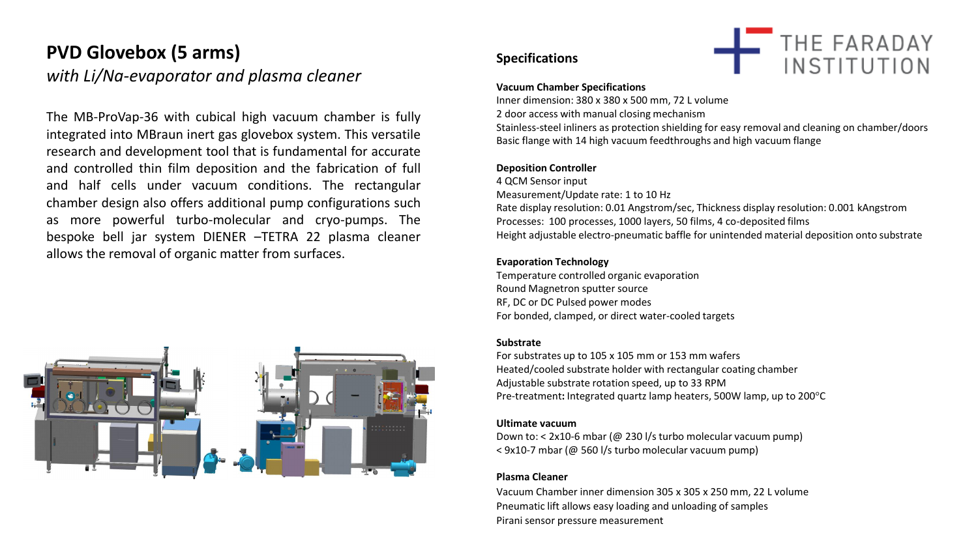# **PVD Glovebox (5 arms)**

*with Li/Na-evaporator and plasma cleaner* 

The MB-ProVap-36 with cubical high vacuum chamber is fully integrated into MBraun inert gas glovebox system. This versatile research and development tool that is fundamental for accurate and controlled thin film deposition and the fabrication of full and half cells under vacuum conditions. The rectangular chamber design also offers additional pump configurations such as more powerful turbo-molecular and cryo-pumps. The bespoke bell jar system DIENER –TETRA 22 plasma cleaner allows the removal of organic matter from surfaces.



#### **Specifications**



#### **Vacuum Chamber Specifications**

Inner dimension: 380 x 380 x 500 mm, 72 L volume 2 door access with manual closing mechanism Stainless-steel inliners as protection shielding for easy removal and cleaning on chamber/doors Basic flange with 14 high vacuum feedthroughs and high vacuum flange

#### **Deposition Controller**

4 QCM Sensor input Measurement/Update rate: 1 to 10 Hz Rate display resolution: 0.01 Angstrom/sec, Thickness display resolution: 0.001 kAngstrom Processes: 100 processes, 1000 layers, 50 films, 4 co-deposited films Height adjustable electro-pneumatic baffle for unintended material deposition onto substrate

#### **Evaporation Technology**

Temperature controlled organic evaporation Round Magnetron sputter source RF, DC or DC Pulsed power modes For bonded, clamped, or direct water-cooled targets

#### **Substrate**

For substrates up to 105 x 105 mm or 153 mm wafers Heated/cooled substrate holder with rectangular coating chamber Adjustable substrate rotation speed, up to 33 RPM Pre-treatment**:** Integrated quartz lamp heaters, 500W lamp, up to 200°C

#### **Ultimate vacuum**

Down to: < 2x10-6 mbar (@ 230 l/s turbo molecular vacuum pump) < 9x10-7 mbar (@ 560 l/s turbo molecular vacuum pump)

#### **Plasma Cleaner**

Vacuum Chamber inner dimension 305 x 305 x 250 mm, 22 L volume Pneumatic lift allows easy loading and unloading of samples Pirani sensor pressure measurement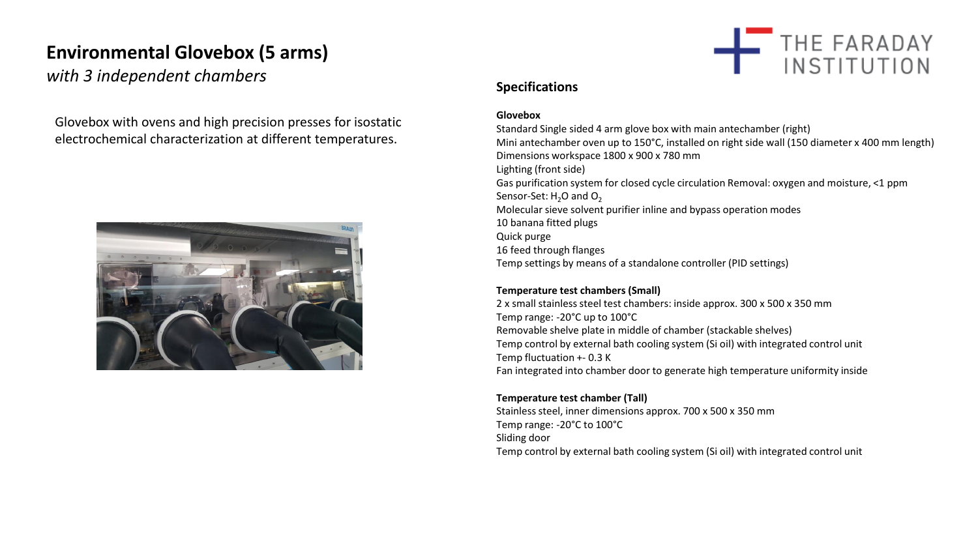# **Environmental Glovebox (5 arms)**

with 3 independent chambers **Specifications** 

Glovebox with ovens and high precision presses for isostatic electrochemical characterization at different temperatures.





#### **Glovebox**

Standard Single sided 4 arm glove box with main antechamber (right) Mini antechamber oven up to 150°C, installed on right side wall (150 diameter x 400 mm length) Dimensions workspace 1800 x 900 x 780 mm Lighting (front side) Gas purification system for closed cycle circulation Removal: oxygen and moisture, <1 ppm Sensor-Set:  $H_2O$  and  $O_2$ Molecular sieve solvent purifier inline and bypass operation modes 10 banana fitted plugs Quick purge 16 feed through flanges Temp settings by means of a standalone controller (PID settings)

#### **Temperature test chambers (Small)**

2 x small stainless steel test chambers: inside approx. 300 x 500 x 350 mm Temp range: -20°C up to 100°C Removable shelve plate in middle of chamber (stackable shelves) Temp control by external bath cooling system (Si oil) with integrated control unit Temp fluctuation +- 0.3 K Fan integrated into chamber door to generate high temperature uniformity inside

#### **Temperature test chamber (Tall)**

Stainless steel, inner dimensions approx. 700 x 500 x 350 mm Temp range: -20°C to 100°C Sliding door Temp control by external bath cooling system (Si oil) with integrated control unit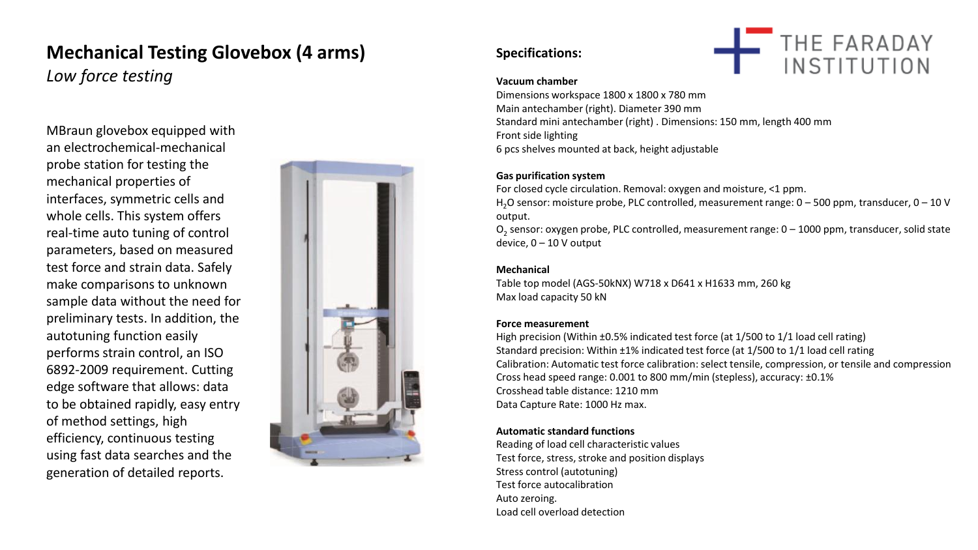# **Mechanical Testing Glovebox (4 arms)**

*Low force testing* 

MBraun glovebox equipped with an electrochemical-mechanical probe station for testing the mechanical properties of interfaces, symmetric cells and whole cells. This system offers real-time auto tuning of control parameters, based on measured test force and strain data. Safely make comparisons to unknown sample data without the need for preliminary tests. In addition, the autotuning function easily performs strain control, an ISO 6892-2009 requirement. Cutting edge software that allows: data to be obtained rapidly, easy entry of method settings, high efficiency, continuous testing using fast data searches and the generation of detailed reports.



### **Specifications:**



#### **Vacuum chamber**

Dimensions workspace 1800 x 1800 x 780 mm Main antechamber (right). Diameter 390 mm Standard mini antechamber (right) . Dimensions: 150 mm, length 400 mm Front side lighting 6 pcs shelves mounted at back, height adjustable

#### **Gas purification system**

For closed cycle circulation. Removal: oxygen and moisture, <1 ppm. H<sub>2</sub>O sensor: moisture probe, PLC controlled, measurement range: 0 – 500 ppm, transducer, 0 – 10 V output.

 $O_2$  sensor: oxygen probe, PLC controlled, measurement range: 0 – 1000 ppm, transducer, solid state device, 0 – 10 V output

#### **Mechanical**

Table top model (AGS-50kNX) W718 x D641 x H1633 mm, 260 kg Max load capacity 50 kN

#### **Force measurement**

High precision (Within ±0.5% indicated test force (at 1/500 to 1/1 load cell rating) Standard precision: Within ±1% indicated test force (at 1/500 to 1/1 load cell rating Calibration: Automatic test force calibration: select tensile, compression, or tensile and compression Cross head speed range: 0.001 to 800 mm/min (stepless), accuracy: ±0.1% Crosshead table distance: 1210 mm Data Capture Rate: 1000 Hz max.

#### **Automatic standard functions**

Reading of load cell characteristic values Test force, stress, stroke and position displays Stress control (autotuning) Test force autocalibration Auto zeroing. Load cell overload detection